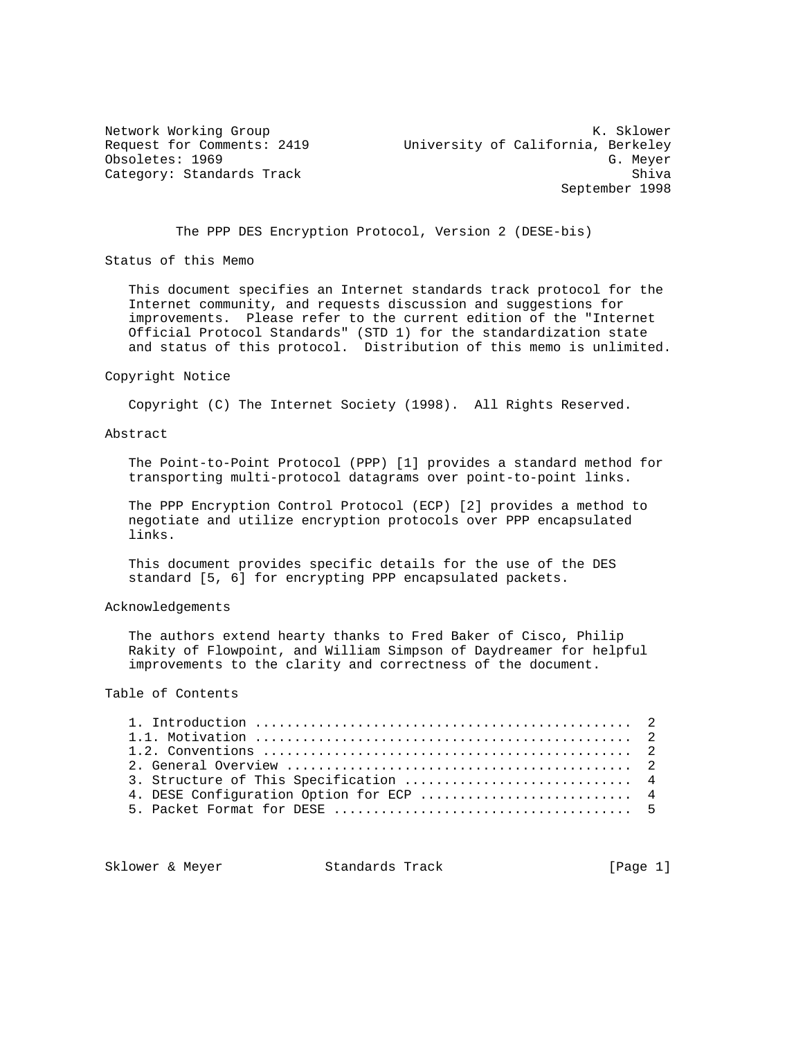Network Working Group Network Working Group Network Channel Muslim Network Channel Muslim Network Channel Muslim Request for Comments: 2419 University of California, Berkeley Obsoletes: 1969 G. Meyer Category: Standards Track Shiva Shiva Shiva Shiva Shiva Shiva Shiva Shiva Shiva Shiva Shiva Shiva Shiva Shiva September 1998

The PPP DES Encryption Protocol, Version 2 (DESE-bis)

Status of this Memo

 This document specifies an Internet standards track protocol for the Internet community, and requests discussion and suggestions for improvements. Please refer to the current edition of the "Internet Official Protocol Standards" (STD 1) for the standardization state and status of this protocol. Distribution of this memo is unlimited.

#### Copyright Notice

Copyright (C) The Internet Society (1998). All Rights Reserved.

## Abstract

 The Point-to-Point Protocol (PPP) [1] provides a standard method for transporting multi-protocol datagrams over point-to-point links.

 The PPP Encryption Control Protocol (ECP) [2] provides a method to negotiate and utilize encryption protocols over PPP encapsulated links.

 This document provides specific details for the use of the DES standard [5, 6] for encrypting PPP encapsulated packets.

## Acknowledgements

 The authors extend hearty thanks to Fred Baker of Cisco, Philip Rakity of Flowpoint, and William Simpson of Daydreamer for helpful improvements to the clarity and correctness of the document.

## Table of Contents

| 3. Structure of This Specification  4   |  |
|-----------------------------------------|--|
| 4. DESE Configuration Option for ECP  4 |  |
|                                         |  |
|                                         |  |

Sklower & Meyer Standards Track [Page 1]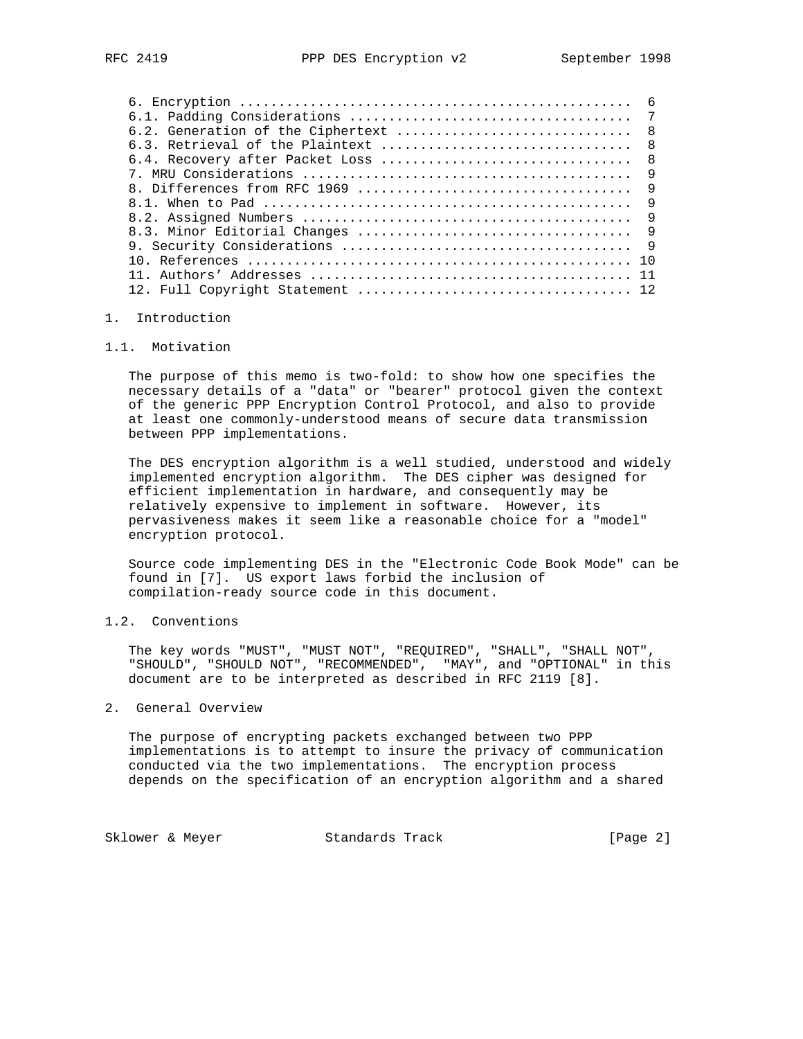| 6.2. Generation of the Ciphertext | $\overline{8}$ |
|-----------------------------------|----------------|
|                                   | $\overline{8}$ |
| 6.4. Recovery after Packet Loss   | $\mathsf{R}$   |
|                                   | 9              |
|                                   | $\overline{9}$ |
|                                   | 9              |
|                                   | $\overline{9}$ |
|                                   |                |
|                                   | $\overline{9}$ |
|                                   | 1 N            |
|                                   |                |
|                                   |                |
|                                   |                |

# 1. Introduction

## 1.1. Motivation

 The purpose of this memo is two-fold: to show how one specifies the necessary details of a "data" or "bearer" protocol given the context of the generic PPP Encryption Control Protocol, and also to provide at least one commonly-understood means of secure data transmission between PPP implementations.

 The DES encryption algorithm is a well studied, understood and widely implemented encryption algorithm. The DES cipher was designed for efficient implementation in hardware, and consequently may be relatively expensive to implement in software. However, its pervasiveness makes it seem like a reasonable choice for a "model" encryption protocol.

 Source code implementing DES in the "Electronic Code Book Mode" can be found in [7]. US export laws forbid the inclusion of compilation-ready source code in this document.

## 1.2. Conventions

 The key words "MUST", "MUST NOT", "REQUIRED", "SHALL", "SHALL NOT", "SHOULD", "SHOULD NOT", "RECOMMENDED", "MAY", and "OPTIONAL" in this document are to be interpreted as described in RFC 2119 [8].

## 2. General Overview

 The purpose of encrypting packets exchanged between two PPP implementations is to attempt to insure the privacy of communication conducted via the two implementations. The encryption process depends on the specification of an encryption algorithm and a shared

Sklower & Meyer Standards Track [Page 2]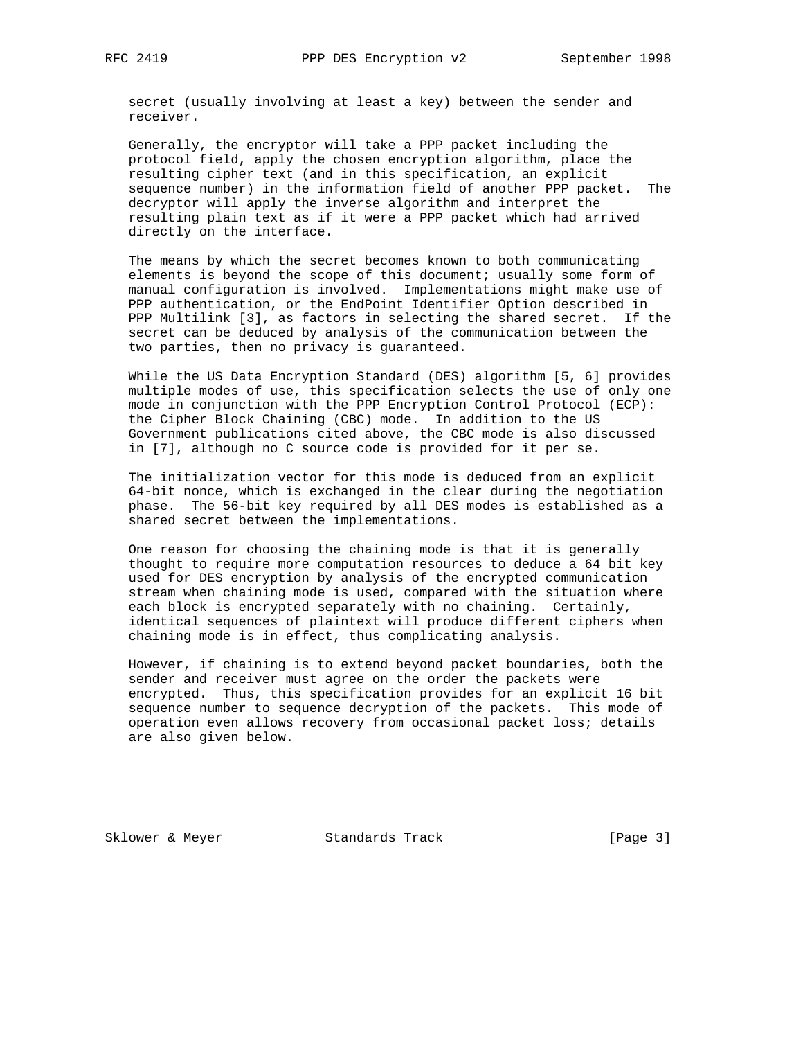secret (usually involving at least a key) between the sender and receiver.

 Generally, the encryptor will take a PPP packet including the protocol field, apply the chosen encryption algorithm, place the resulting cipher text (and in this specification, an explicit sequence number) in the information field of another PPP packet. The decryptor will apply the inverse algorithm and interpret the resulting plain text as if it were a PPP packet which had arrived directly on the interface.

 The means by which the secret becomes known to both communicating elements is beyond the scope of this document; usually some form of manual configuration is involved. Implementations might make use of PPP authentication, or the EndPoint Identifier Option described in PPP Multilink [3], as factors in selecting the shared secret. If the secret can be deduced by analysis of the communication between the two parties, then no privacy is guaranteed.

 While the US Data Encryption Standard (DES) algorithm [5, 6] provides multiple modes of use, this specification selects the use of only one mode in conjunction with the PPP Encryption Control Protocol (ECP): the Cipher Block Chaining (CBC) mode. In addition to the US Government publications cited above, the CBC mode is also discussed in [7], although no C source code is provided for it per se.

 The initialization vector for this mode is deduced from an explicit 64-bit nonce, which is exchanged in the clear during the negotiation phase. The 56-bit key required by all DES modes is established as a shared secret between the implementations.

 One reason for choosing the chaining mode is that it is generally thought to require more computation resources to deduce a 64 bit key used for DES encryption by analysis of the encrypted communication stream when chaining mode is used, compared with the situation where each block is encrypted separately with no chaining. Certainly, identical sequences of plaintext will produce different ciphers when chaining mode is in effect, thus complicating analysis.

 However, if chaining is to extend beyond packet boundaries, both the sender and receiver must agree on the order the packets were encrypted. Thus, this specification provides for an explicit 16 bit sequence number to sequence decryption of the packets. This mode of operation even allows recovery from occasional packet loss; details are also given below.

Sklower & Meyer Standards Track [Page 3]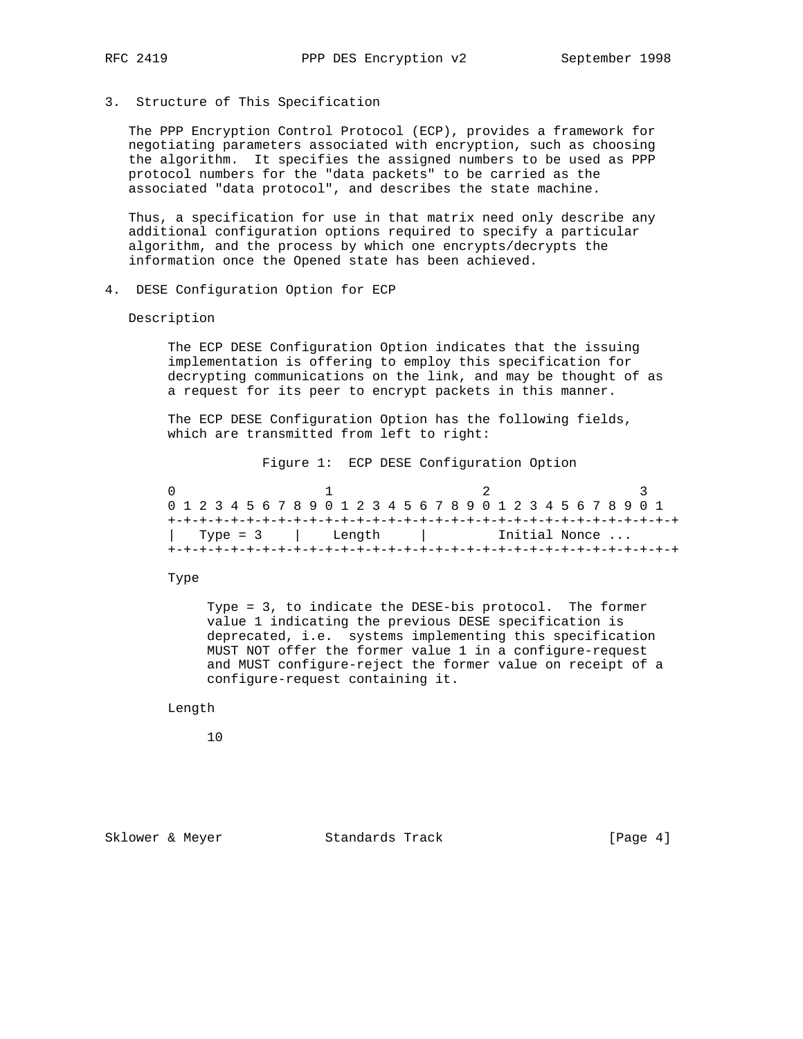- 
- 3. Structure of This Specification

 The PPP Encryption Control Protocol (ECP), provides a framework for negotiating parameters associated with encryption, such as choosing the algorithm. It specifies the assigned numbers to be used as PPP protocol numbers for the "data packets" to be carried as the associated "data protocol", and describes the state machine.

 Thus, a specification for use in that matrix need only describe any additional configuration options required to specify a particular algorithm, and the process by which one encrypts/decrypts the information once the Opened state has been achieved.

4. DESE Configuration Option for ECP

### Description

 The ECP DESE Configuration Option indicates that the issuing implementation is offering to employ this specification for decrypting communications on the link, and may be thought of as a request for its peer to encrypt packets in this manner.

 The ECP DESE Configuration Option has the following fields, which are transmitted from left to right:

Figure 1: ECP DESE Configuration Option

| 0 1 2 3 4 5 6 7 8 9 0 1 2 3 4 5 6 7 8 9 0 1 2 3 4 5 6 7 8 9 0 1 |                 |  |  |  |  |  |  |                                           |  |  |  |  |  |  |  |  |  |  |  |  |  |  |  |  |  |  |  |  |
|-----------------------------------------------------------------|-----------------|--|--|--|--|--|--|-------------------------------------------|--|--|--|--|--|--|--|--|--|--|--|--|--|--|--|--|--|--|--|--|
|                                                                 |                 |  |  |  |  |  |  |                                           |  |  |  |  |  |  |  |  |  |  |  |  |  |  |  |  |  |  |  |  |
|                                                                 | Type = 3 length |  |  |  |  |  |  | Initial Nonce<br>the contract of the con- |  |  |  |  |  |  |  |  |  |  |  |  |  |  |  |  |  |  |  |  |
|                                                                 |                 |  |  |  |  |  |  |                                           |  |  |  |  |  |  |  |  |  |  |  |  |  |  |  |  |  |  |  |  |

## Type

 Type = 3, to indicate the DESE-bis protocol. The former value 1 indicating the previous DESE specification is deprecated, i.e. systems implementing this specification MUST NOT offer the former value 1 in a configure-request and MUST configure-reject the former value on receipt of a configure-request containing it.

Length

10

Sklower & Meyer Standards Track [Page 4]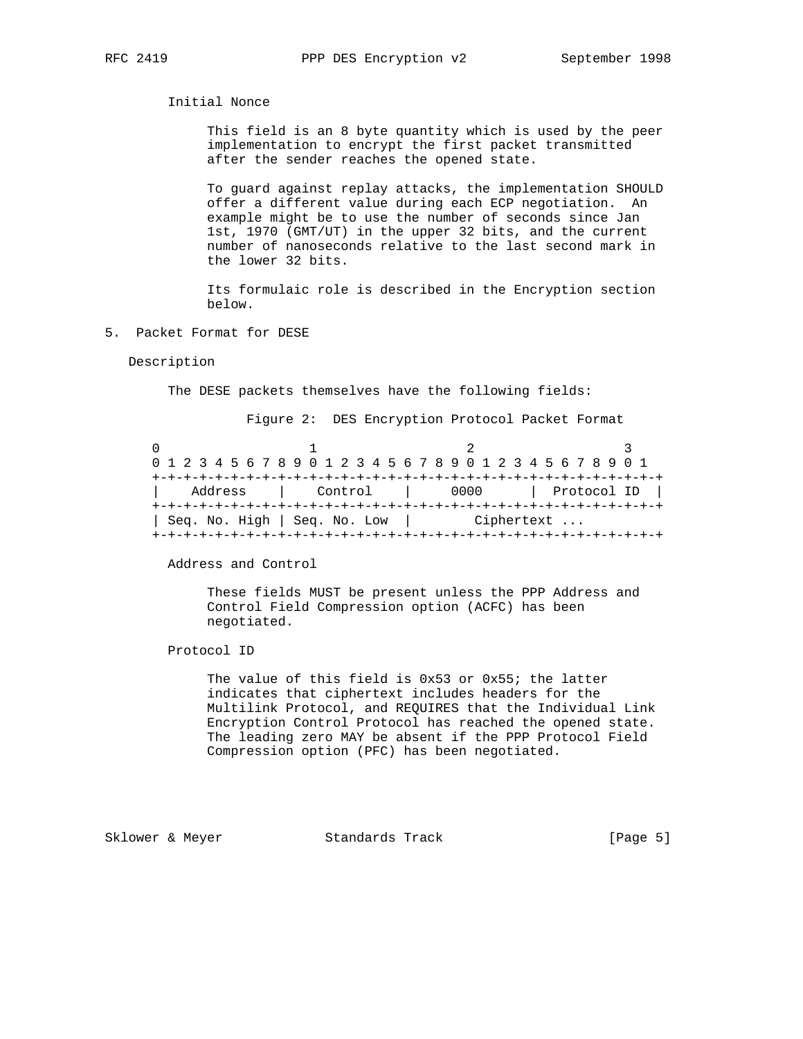## Initial Nonce

 This field is an 8 byte quantity which is used by the peer implementation to encrypt the first packet transmitted after the sender reaches the opened state.

 To guard against replay attacks, the implementation SHOULD offer a different value during each ECP negotiation. An example might be to use the number of seconds since Jan 1st, 1970 (GMT/UT) in the upper 32 bits, and the current number of nanoseconds relative to the last second mark in the lower 32 bits.

 Its formulaic role is described in the Encryption section below.

5. Packet Format for DESE

#### Description

The DESE packets themselves have the following fields:

Figure 2: DES Encryption Protocol Packet Format

| 0 1 2 3 4 5 6 7 8 9 0 1 2 3 4 5 6 7 8 9 0 1 2 3 4 5 6 7 8 9 0 1 |                              |  |  |  |  |  |  |  |         |  |                                     |  |  |            |  |  |  |  |      |  |  |  |             |  |  |  |  |  |  |  |  |  |  |  |
|-----------------------------------------------------------------|------------------------------|--|--|--|--|--|--|--|---------|--|-------------------------------------|--|--|------------|--|--|--|--|------|--|--|--|-------------|--|--|--|--|--|--|--|--|--|--|--|
|                                                                 |                              |  |  |  |  |  |  |  |         |  | +-+-+-+-+-+-+-+-+-+-+-+-+-+-+-+-+-+ |  |  |            |  |  |  |  |      |  |  |  |             |  |  |  |  |  |  |  |  |  |  |  |
| Address                                                         |                              |  |  |  |  |  |  |  | Control |  |                                     |  |  |            |  |  |  |  | 0000 |  |  |  | Protocol ID |  |  |  |  |  |  |  |  |  |  |  |
|                                                                 |                              |  |  |  |  |  |  |  |         |  |                                     |  |  |            |  |  |  |  |      |  |  |  |             |  |  |  |  |  |  |  |  |  |  |  |
|                                                                 | Seq. No. High   Seq. No. Low |  |  |  |  |  |  |  |         |  |                                     |  |  | Ciphertext |  |  |  |  |      |  |  |  |             |  |  |  |  |  |  |  |  |  |  |  |
|                                                                 |                              |  |  |  |  |  |  |  |         |  |                                     |  |  |            |  |  |  |  |      |  |  |  |             |  |  |  |  |  |  |  |  |  |  |  |

Address and Control

 These fields MUST be present unless the PPP Address and Control Field Compression option (ACFC) has been negotiated.

Protocol ID

 The value of this field is 0x53 or 0x55; the latter indicates that ciphertext includes headers for the Multilink Protocol, and REQUIRES that the Individual Link Encryption Control Protocol has reached the opened state. The leading zero MAY be absent if the PPP Protocol Field Compression option (PFC) has been negotiated.

Sklower & Meyer Standards Track [Page 5]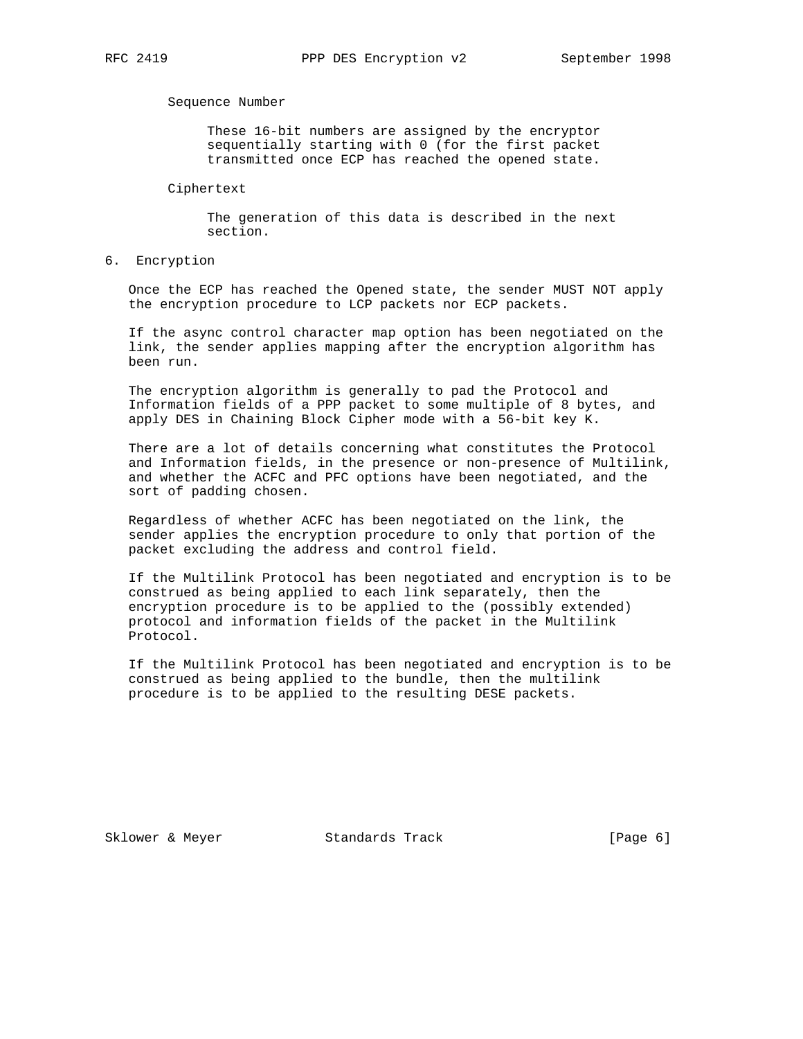### Sequence Number

 These 16-bit numbers are assigned by the encryptor sequentially starting with 0 (for the first packet transmitted once ECP has reached the opened state.

## Ciphertext

 The generation of this data is described in the next section.

6. Encryption

 Once the ECP has reached the Opened state, the sender MUST NOT apply the encryption procedure to LCP packets nor ECP packets.

 If the async control character map option has been negotiated on the link, the sender applies mapping after the encryption algorithm has been run.

 The encryption algorithm is generally to pad the Protocol and Information fields of a PPP packet to some multiple of 8 bytes, and apply DES in Chaining Block Cipher mode with a 56-bit key K.

 There are a lot of details concerning what constitutes the Protocol and Information fields, in the presence or non-presence of Multilink, and whether the ACFC and PFC options have been negotiated, and the sort of padding chosen.

 Regardless of whether ACFC has been negotiated on the link, the sender applies the encryption procedure to only that portion of the packet excluding the address and control field.

 If the Multilink Protocol has been negotiated and encryption is to be construed as being applied to each link separately, then the encryption procedure is to be applied to the (possibly extended) protocol and information fields of the packet in the Multilink Protocol.

 If the Multilink Protocol has been negotiated and encryption is to be construed as being applied to the bundle, then the multilink procedure is to be applied to the resulting DESE packets.

Sklower & Meyer Standards Track [Page 6]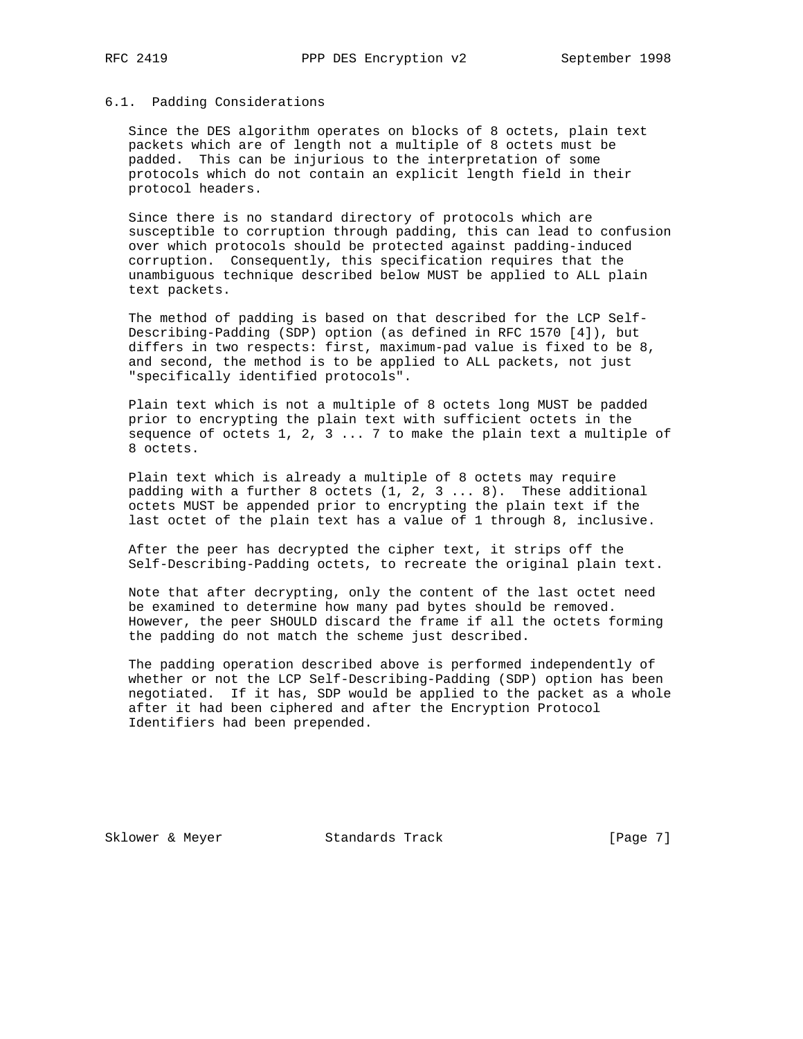## 6.1. Padding Considerations

 Since the DES algorithm operates on blocks of 8 octets, plain text packets which are of length not a multiple of 8 octets must be padded. This can be injurious to the interpretation of some protocols which do not contain an explicit length field in their protocol headers.

 Since there is no standard directory of protocols which are susceptible to corruption through padding, this can lead to confusion over which protocols should be protected against padding-induced corruption. Consequently, this specification requires that the unambiguous technique described below MUST be applied to ALL plain text packets.

 The method of padding is based on that described for the LCP Self- Describing-Padding (SDP) option (as defined in RFC 1570 [4]), but differs in two respects: first, maximum-pad value is fixed to be 8, and second, the method is to be applied to ALL packets, not just "specifically identified protocols".

 Plain text which is not a multiple of 8 octets long MUST be padded prior to encrypting the plain text with sufficient octets in the sequence of octets  $1, 2, 3... 7$  to make the plain text a multiple of 8 octets.

 Plain text which is already a multiple of 8 octets may require padding with a further 8 octets (1, 2, 3 ... 8). These additional octets MUST be appended prior to encrypting the plain text if the last octet of the plain text has a value of 1 through 8, inclusive.

 After the peer has decrypted the cipher text, it strips off the Self-Describing-Padding octets, to recreate the original plain text.

 Note that after decrypting, only the content of the last octet need be examined to determine how many pad bytes should be removed. However, the peer SHOULD discard the frame if all the octets forming the padding do not match the scheme just described.

 The padding operation described above is performed independently of whether or not the LCP Self-Describing-Padding (SDP) option has been negotiated. If it has, SDP would be applied to the packet as a whole after it had been ciphered and after the Encryption Protocol Identifiers had been prepended.

Sklower & Meyer Standards Track [Page 7]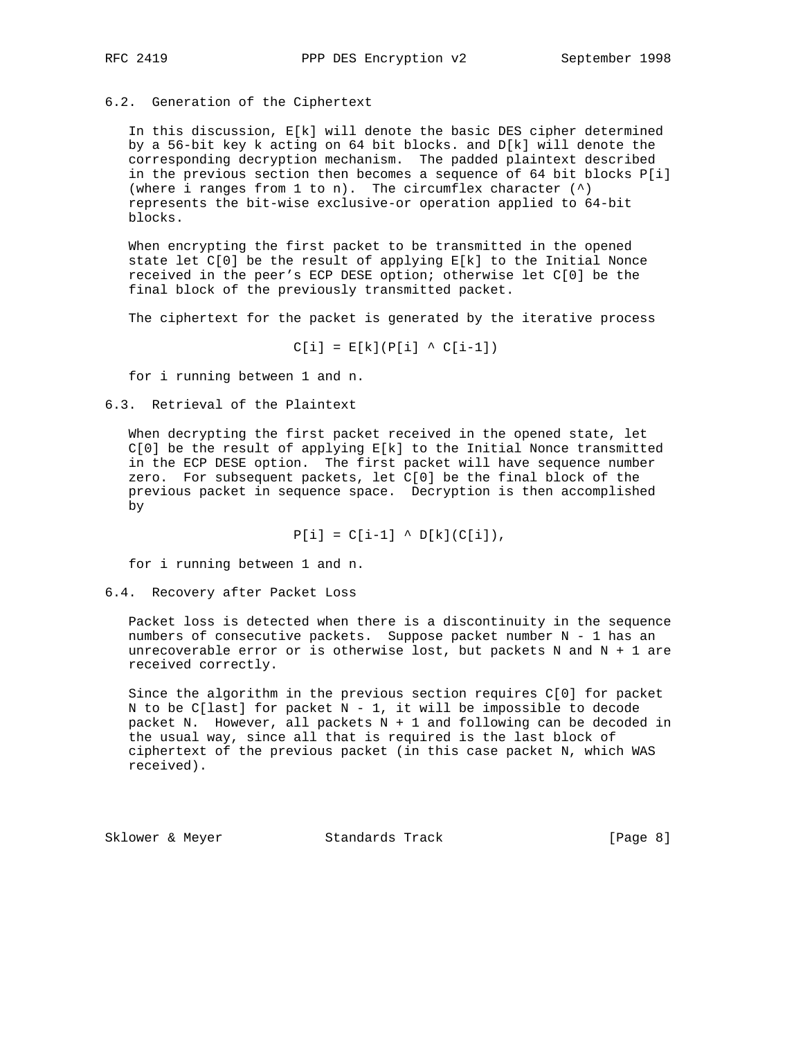## 6.2. Generation of the Ciphertext

 In this discussion, E[k] will denote the basic DES cipher determined by a 56-bit key k acting on 64 bit blocks. and D[k] will denote the corresponding decryption mechanism. The padded plaintext described in the previous section then becomes a sequence of 64 bit blocks P[i] (where i ranges from  $1$  to n). The circumflex character  $(^{\wedge})$  represents the bit-wise exclusive-or operation applied to 64-bit blocks.

 When encrypting the first packet to be transmitted in the opened state let  $C[0]$  be the result of applying  $E[k]$  to the Initial Nonce received in the peer's ECP DESE option; otherwise let C[0] be the final block of the previously transmitted packet.

The ciphertext for the packet is generated by the iterative process

 $C[i] = E[k](P[i] \wedge C[i-1])$ 

for i running between 1 and n.

## 6.3. Retrieval of the Plaintext

 When decrypting the first packet received in the opened state, let  $C[0]$  be the result of applying  $E[k]$  to the Initial Nonce transmitted in the ECP DESE option. The first packet will have sequence number zero. For subsequent packets, let C[0] be the final block of the previous packet in sequence space. Decryption is then accomplished by

 $P[i] = C[i-1]$  ^  $D[k](C[i]),$ 

for i running between 1 and n.

### 6.4. Recovery after Packet Loss

 Packet loss is detected when there is a discontinuity in the sequence numbers of consecutive packets. Suppose packet number N - 1 has an unrecoverable error or is otherwise lost, but packets  $N$  and  $N + 1$  are received correctly.

 Since the algorithm in the previous section requires C[0] for packet N to be C[last] for packet  $N - 1$ , it will be impossible to decode packet N. However, all packets N + 1 and following can be decoded in the usual way, since all that is required is the last block of ciphertext of the previous packet (in this case packet N, which WAS received).

Sklower & Meyer Standards Track [Page 8]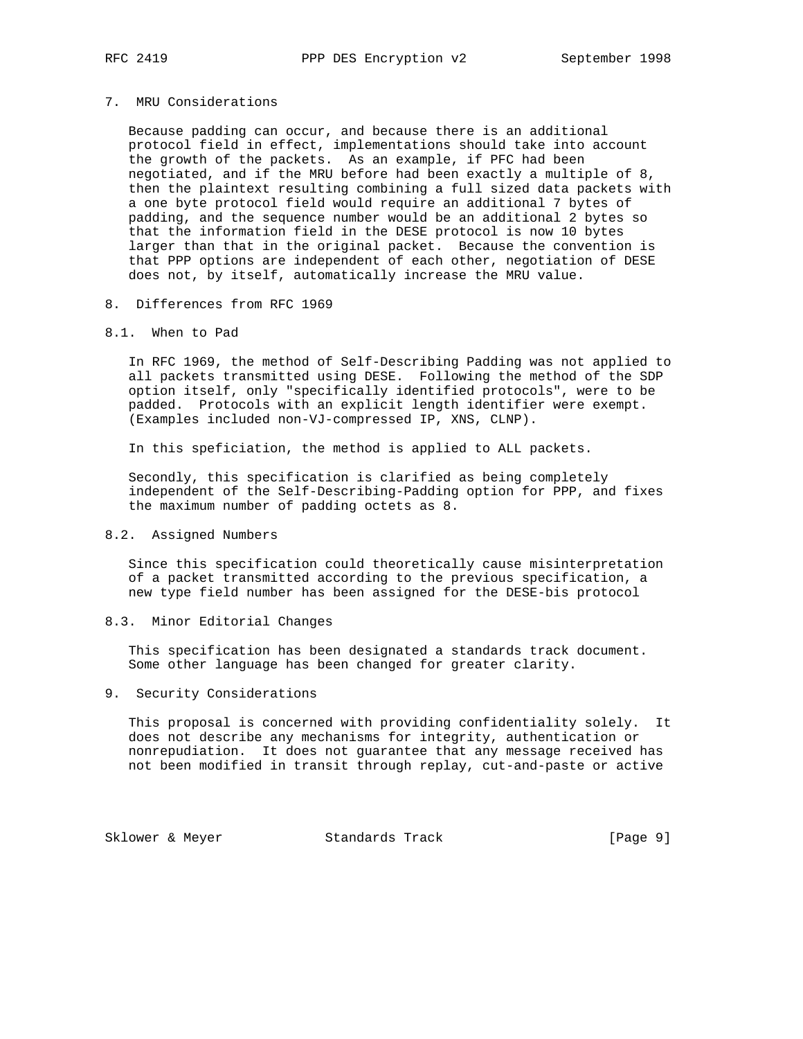### 7. MRU Considerations

 Because padding can occur, and because there is an additional protocol field in effect, implementations should take into account the growth of the packets. As an example, if PFC had been negotiated, and if the MRU before had been exactly a multiple of 8, then the plaintext resulting combining a full sized data packets with a one byte protocol field would require an additional 7 bytes of padding, and the sequence number would be an additional 2 bytes so that the information field in the DESE protocol is now 10 bytes larger than that in the original packet. Because the convention is that PPP options are independent of each other, negotiation of DESE does not, by itself, automatically increase the MRU value.

## 8. Differences from RFC 1969

## 8.1. When to Pad

 In RFC 1969, the method of Self-Describing Padding was not applied to all packets transmitted using DESE. Following the method of the SDP option itself, only "specifically identified protocols", were to be padded. Protocols with an explicit length identifier were exempt. (Examples included non-VJ-compressed IP, XNS, CLNP).

In this speficiation, the method is applied to ALL packets.

 Secondly, this specification is clarified as being completely independent of the Self-Describing-Padding option for PPP, and fixes the maximum number of padding octets as 8.

### 8.2. Assigned Numbers

 Since this specification could theoretically cause misinterpretation of a packet transmitted according to the previous specification, a new type field number has been assigned for the DESE-bis protocol

## 8.3. Minor Editorial Changes

 This specification has been designated a standards track document. Some other language has been changed for greater clarity.

## 9. Security Considerations

 This proposal is concerned with providing confidentiality solely. It does not describe any mechanisms for integrity, authentication or nonrepudiation. It does not guarantee that any message received has not been modified in transit through replay, cut-and-paste or active

Sklower & Meyer Standards Track [Page 9]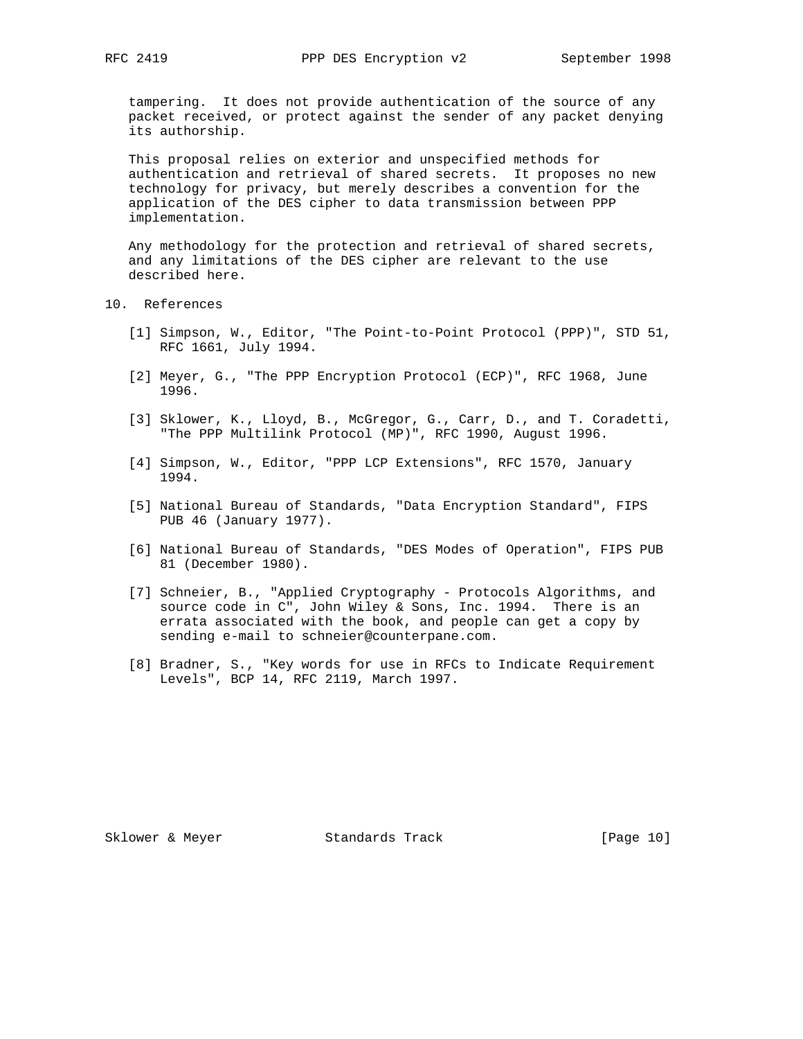tampering. It does not provide authentication of the source of any packet received, or protect against the sender of any packet denying its authorship.

 This proposal relies on exterior and unspecified methods for authentication and retrieval of shared secrets. It proposes no new technology for privacy, but merely describes a convention for the application of the DES cipher to data transmission between PPP implementation.

 Any methodology for the protection and retrieval of shared secrets, and any limitations of the DES cipher are relevant to the use described here.

10. References

- [1] Simpson, W., Editor, "The Point-to-Point Protocol (PPP)", STD 51, RFC 1661, July 1994.
- [2] Meyer, G., "The PPP Encryption Protocol (ECP)", RFC 1968, June 1996.
- [3] Sklower, K., Lloyd, B., McGregor, G., Carr, D., and T. Coradetti, "The PPP Multilink Protocol (MP)", RFC 1990, August 1996.
- [4] Simpson, W., Editor, "PPP LCP Extensions", RFC 1570, January 1994.
- [5] National Bureau of Standards, "Data Encryption Standard", FIPS PUB 46 (January 1977).
- [6] National Bureau of Standards, "DES Modes of Operation", FIPS PUB 81 (December 1980).
- [7] Schneier, B., "Applied Cryptography Protocols Algorithms, and source code in C", John Wiley & Sons, Inc. 1994. There is an errata associated with the book, and people can get a copy by sending e-mail to schneier@counterpane.com.
- [8] Bradner, S., "Key words for use in RFCs to Indicate Requirement Levels", BCP 14, RFC 2119, March 1997.

Sklower & Meyer Standards Track [Page 10]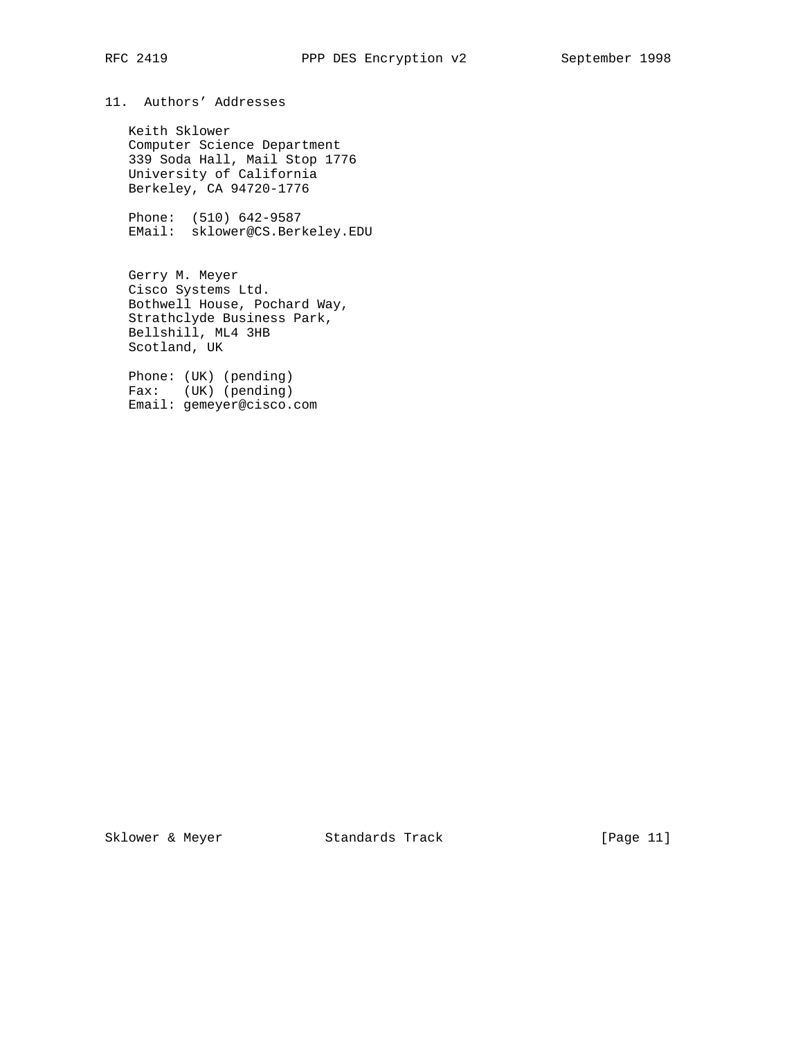# 11. Authors' Addresses

 Keith Sklower Computer Science Department 339 Soda Hall, Mail Stop 1776 University of California Berkeley, CA 94720-1776

 Phone: (510) 642-9587 EMail: sklower@CS.Berkeley.EDU

 Gerry M. Meyer Cisco Systems Ltd. Bothwell House, Pochard Way, Strathclyde Business Park, Bellshill, ML4 3HB Scotland, UK

 Phone: (UK) (pending) Fax: (UK) (pending) Email: gemeyer@cisco.com

Sklower & Meyer Standards Track [Page 11]